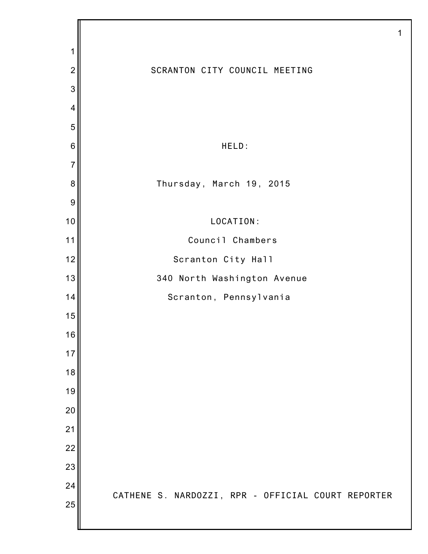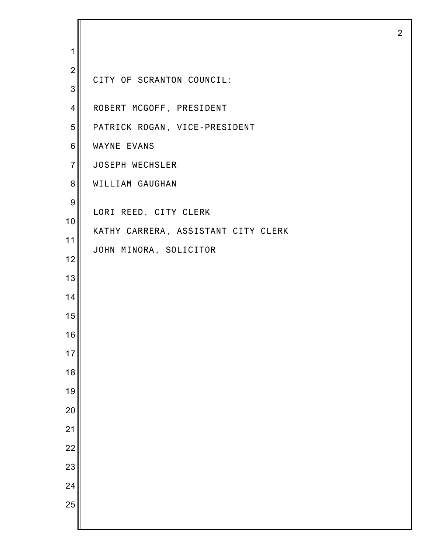| 1                |                                     |
|------------------|-------------------------------------|
| $\overline{2}$   | CITY OF SCRANTON COUNCIL:           |
| 3                |                                     |
| $\overline{4}$   | ROBERT MCGOFF, PRESIDENT            |
| 5                | PATRICK ROGAN, VICE-PRESIDENT       |
| 6                | WAYNE EVANS                         |
| $\overline{7}$   | JOSEPH WECHSLER                     |
| 8                | WILLIAM GAUGHAN                     |
| $\boldsymbol{9}$ | LORI REED, CITY CLERK               |
| 10               |                                     |
| 11               | KATHY CARRERA, ASSISTANT CITY CLERK |
| 12               | JOHN MINORA, SOLICITOR              |
| 13               |                                     |
| 14               |                                     |
| 15               |                                     |
| 16               |                                     |
| 17               |                                     |
| 18               |                                     |
| 19               |                                     |
| 20               |                                     |
| 21               |                                     |
| 22               |                                     |
| 23               |                                     |
| 24               |                                     |
| 25               |                                     |
|                  |                                     |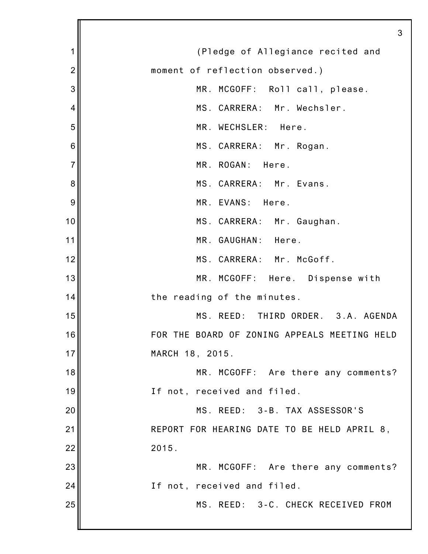|                | 3                                            |
|----------------|----------------------------------------------|
| 1              | (Pledge of Allegiance recited and            |
| $\overline{c}$ | moment of reflection observed.)              |
| 3              | MR. MCGOFF: Roll call, please.               |
| 4              | MS. CARRERA: Mr. Wechsler.                   |
| 5              | MR. WECHSLER: Here.                          |
| 6              | MS. CARRERA: Mr. Rogan.                      |
| $\overline{7}$ | MR. ROGAN: Here.                             |
| 8              | MS. CARRERA: Mr. Evans.                      |
| 9              | MR. EVANS:<br>Here.                          |
| 10             | MS. CARRERA: Mr. Gaughan.                    |
| 11             | MR. GAUGHAN: Here.                           |
| 12             | MS. CARRERA: Mr. McGoff.                     |
| 13             | MR. MCGOFF: Here. Dispense with              |
| 14             | the reading of the minutes.                  |
| 15             | MS. REED: THIRD ORDER. 3.A. AGENDA           |
| 16             | FOR THE BOARD OF ZONING APPEALS MEETING HELD |
| 17             | MARCH 18, 2015.                              |
| 18             | MR. MCGOFF: Are there any comments?          |
| 19             | If not, received and filed.                  |
| 20             | MS. REED: 3-B. TAX ASSESSOR'S                |
| 21             | REPORT FOR HEARING DATE TO BE HELD APRIL 8,  |
| 22             | 2015.                                        |
| 23             | MR. MCGOFF: Are there any comments?          |
| 24             | If not, received and filed.                  |
| 25             | MS. REED: 3-C. CHECK RECEIVED FROM           |
|                |                                              |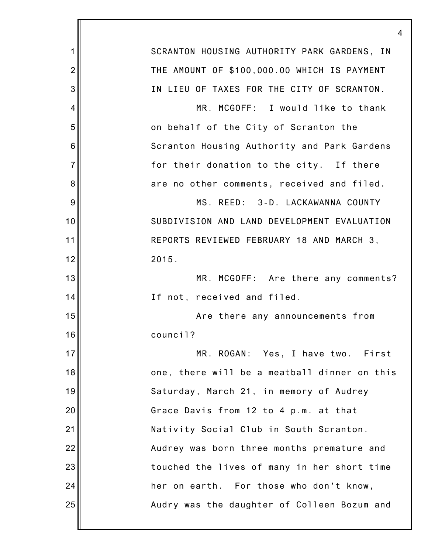|                 | 4                                            |
|-----------------|----------------------------------------------|
| 1               | SCRANTON HOUSING AUTHORITY PARK GARDENS, IN  |
| $\overline{2}$  | THE AMOUNT OF \$100,000.00 WHICH IS PAYMENT  |
| 3               | IN LIEU OF TAXES FOR THE CITY OF SCRANTON.   |
| 4               | MR. MCGOFF: I would like to thank            |
| 5               | on behalf of the City of Scranton the        |
| $6\phantom{1}6$ | Scranton Housing Authority and Park Gardens  |
| $\overline{7}$  | for their donation to the city. If there     |
| 8               | are no other comments, received and filed.   |
| 9               | MS. REED: 3-D. LACKAWANNA COUNTY             |
| 10              | SUBDIVISION AND LAND DEVELOPMENT EVALUATION  |
| 11              | REPORTS REVIEWED FEBRUARY 18 AND MARCH 3,    |
| 12              | 2015.                                        |
| 13              | MR. MCGOFF: Are there any comments?          |
| 14              | If not, received and filed.                  |
| 15              | Are there any announcements from             |
| 16              | council?                                     |
| 17              | MR. ROGAN: Yes, I have two. First            |
| 18              | one, there will be a meatball dinner on this |
| 19              | Saturday, March 21, in memory of Audrey      |
| 20              | Grace Davis from 12 to 4 p.m. at that        |
| 21              | Nativity Social Club in South Scranton.      |
| 22              | Audrey was born three months premature and   |
| 23              | touched the lives of many in her short time  |
| 24              | her on earth. For those who don't know,      |
| 25              | Audry was the daughter of Colleen Bozum and  |
|                 |                                              |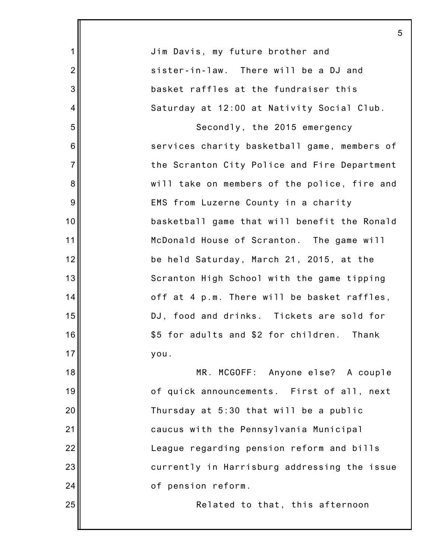|                 | 5                                             |
|-----------------|-----------------------------------------------|
| 1               | Jim Davis, my future brother and              |
| $\overline{2}$  | sister-in-law. There will be a DJ and         |
| 3               | basket raffles at the fundraiser this         |
| 4               | Saturday at 12:00 at Nativity Social Club.    |
| 5               | Secondly, the 2015 emergency                  |
| $6\phantom{1}6$ | services charity basketball game, members of  |
| $\overline{7}$  | the Scranton City Police and Fire Department  |
| 8               | will take on members of the police, fire and  |
| 9               | EMS from Luzerne County in a charity          |
| 10              | basketball game that will benefit the Ronald  |
| 11              | McDonald House of Scranton. The game will     |
| 12              | be held Saturday, March 21, 2015, at the      |
| 13              | Scranton High School with the game tipping    |
| 14              | off at 4 p.m. There will be basket raffles,   |
| 15              | DJ, food and drinks. Tickets are sold for     |
| 16              | \$5 for adults and \$2 for children.<br>Thank |
| 17              | you.                                          |
| 18              | MR. MCGOFF: Anyone else? A couple             |
| 19              | of quick announcements. First of all, next    |
| 20              | Thursday at 5:30 that will be a public        |
| 21              | caucus with the Pennsylvania Municipal        |
| 22              | League regarding pension reform and bills     |
| 23              | currently in Harrisburg addressing the issue  |
| 24              | of pension reform.                            |
| 25              | Related to that, this afternoon               |
|                 |                                               |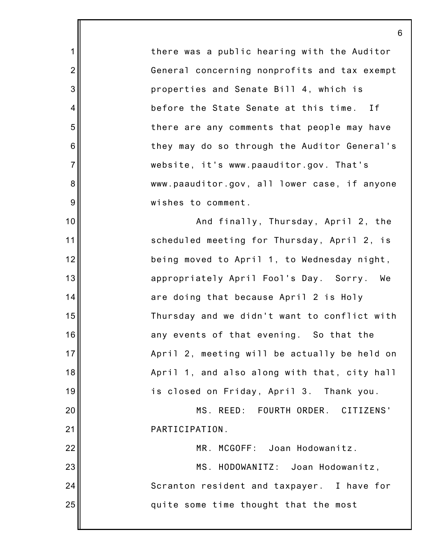there was a public hearing with the Auditor General concerning nonprofits and tax exempt properties and Senate Bill 4, which is before the State Senate at this time. If there are any comments that people may have they may do so through the Auditor General's website, it's www.paauditor.gov. That's www.paauditor.gov, all lower case, if anyone wishes to comment.

1

2

3

4

5

6

7

8

9

10

11

12

13

14

15

16

17

18

19

And finally, Thursday, April 2, the scheduled meeting for Thursday, April 2, is being moved to April 1, to Wednesday night, appropriately April Fool's Day. Sorry. We are doing that because April 2 is Holy Thursday and we didn't want to conflict with any events of that evening. So that the April 2, meeting will be actually be held on April 1, and also along with that, city hall is closed on Friday, April 3. Thank you.

20 21 MS. REED: FOURTH ORDER. CITIZENS' PARTICIPATION.

22 23 24 25 MR. MCGOFF: Joan Hodowanitz. MS. HODOWANITZ: Joan Hodowanitz, Scranton resident and taxpayer. I have for quite some time thought that the most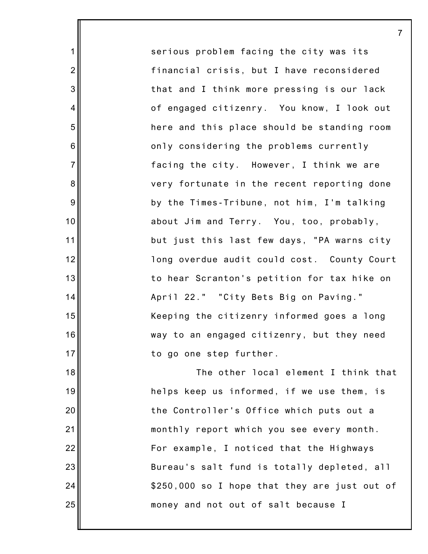serious problem facing the city was its financial crisis, but I have reconsidered that and I think more pressing is our lack of engaged citizenry. You know, I look out here and this place should be standing room only considering the problems currently facing the city. However, I think we are very fortunate in the recent reporting done by the Times-Tribune, not him, I'm talking about Jim and Terry. You, too, probably, but just this last few days, "PA warns city long overdue audit could cost. County Court to hear Scranton's petition for tax hike on April 22." "City Bets Big on Paving." Keeping the citizenry informed goes a long way to an engaged citizenry, but they need to go one step further.

7

1

2

3

4

5

6

7

8

9

10

11

12

13

14

15

16

17

18

19

20

21

22

23

24

25

The other local element I think that helps keep us informed, if we use them, is the Controller's Office which puts out a monthly report which you see every month. For example, I noticed that the Highways Bureau's salt fund is totally depleted, all \$250,000 so I hope that they are just out of money and not out of salt because I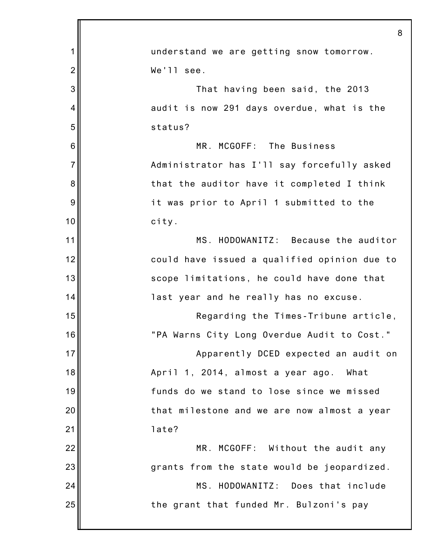|                | 8                                            |
|----------------|----------------------------------------------|
| 1              | understand we are getting snow tomorrow.     |
| $\overline{2}$ | We'll see.                                   |
| 3              | That having been said, the 2013              |
| 4              | audit is now 291 days overdue, what is the   |
| 5              | status?                                      |
| 6              | MR. MCGOFF: The Business                     |
| $\overline{7}$ | Administrator has I'll say forcefully asked  |
| 8              | that the auditor have it completed I think   |
| 9              | it was prior to April 1 submitted to the     |
| 10             | city.                                        |
| 11             | MS. HODOWANITZ: Because the auditor          |
| 12             | could have issued a qualified opinion due to |
| 13             | scope limitations, he could have done that   |
| 14             | last year and he really has no excuse.       |
| 15             | Regarding the Times-Tribune article,         |
| 16             | "PA Warns City Long Overdue Audit to Cost."  |
| 17             | Apparently DCED expected an audit on         |
| 18             | April 1, 2014, almost a year ago.<br>What    |
| 19             | funds do we stand to lose since we missed    |
| 20             | that milestone and we are now almost a year  |
| 21             | late?                                        |
| 22             | MR. MCGOFF: Without the audit any            |
| 23             | grants from the state would be jeopardized.  |
| 24             | MS. HODOWANITZ: Does that include            |
| 25             | the grant that funded Mr. Bulzoni's pay      |
|                |                                              |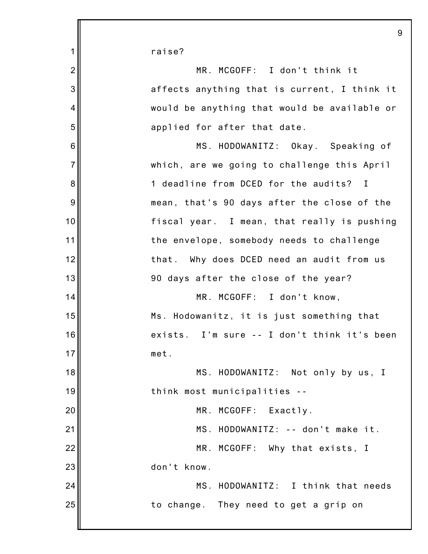1 2 3 4 5 6 7 8 9 10 11 12 13 14 15 16 17 18 19 20 21 22 23 24 25 raise? MR. MCGOFF: I don't think it affects anything that is current, I think it would be anything that would be available or applied for after that date. MS. HODOWANITZ: Okay. Speaking of which, are we going to challenge this April 1 deadline from DCED for the audits? I mean, that's 90 days after the close of the fiscal year. I mean, that really is pushing the envelope, somebody needs to challenge that. Why does DCED need an audit from us 90 days after the close of the year? MR. MCGOFF: I don't know, Ms. Hodowanitz, it is just something that exists. I'm sure -- I don't think it's been met. MS. HODOWANITZ: Not only by us, I think most municipalities -- MR. MCGOFF: Exactly. MS. HODOWANITZ: -- don't make it. MR. MCGOFF: Why that exists, I don't know. MS. HODOWANITZ: I think that needs to change. They need to get a grip on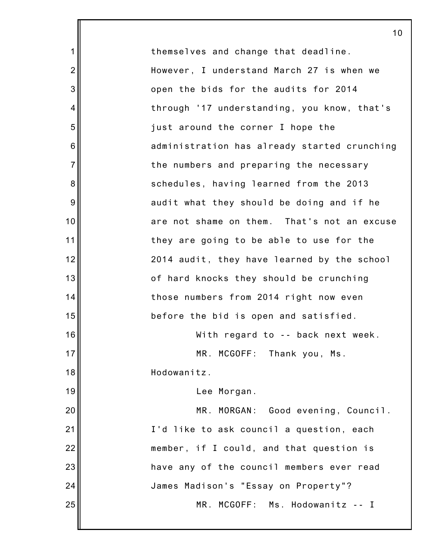|                | 10                                           |
|----------------|----------------------------------------------|
| 1              | themselves and change that deadline.         |
| $\overline{2}$ | However, I understand March 27 is when we    |
| 3              | open the bids for the audits for 2014        |
| 4              | through '17 understanding, you know, that's  |
| 5              | just around the corner I hope the            |
| 6              | administration has already started crunching |
| $\overline{7}$ | the numbers and preparing the necessary      |
| 8              | schedules, having learned from the 2013      |
| 9              | audit what they should be doing and if he    |
| 10             | are not shame on them. That's not an excuse  |
| 11             | they are going to be able to use for the     |
| 12             | 2014 audit, they have learned by the school  |
| 13             | of hard knocks they should be crunching      |
| 14             | those numbers from 2014 right now even       |
| 15             | before the bid is open and satisfied.        |
| 16             | With regard to -- back next week.            |
| 17             | MR. MCGOFF: Thank you, Ms.                   |
| 18             | Hodowanitz.                                  |
| 19             | Lee Morgan.                                  |
| 20             | MR. MORGAN: Good evening, Council.           |
| 21             | I'd like to ask council a question, each     |
| 22             | member, if I could, and that question is     |
| 23             | have any of the council members ever read    |
| 24             | James Madison's "Essay on Property"?         |
| 25             | MR. MCGOFF: Ms. Hodowanitz -- I              |
|                |                                              |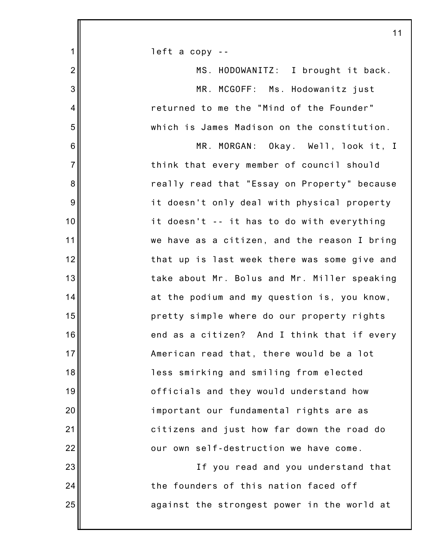|                | 11                                           |
|----------------|----------------------------------------------|
| 1              | left a copy --                               |
| $\overline{2}$ | MS. HODOWANITZ: I brought it back.           |
| 3              | MR. MCGOFF: Ms. Hodowanitz just              |
| 4              | returned to me the "Mind of the Founder"     |
| 5              | which is James Madison on the constitution.  |
| 6              | MR. MORGAN: Okay. Well, look it, I           |
| $\overline{7}$ | think that every member of council should    |
| 8              | really read that "Essay on Property" because |
| 9              | it doesn't only deal with physical property  |
| 10             | it doesn't -- it has to do with everything   |
| 11             | we have as a citizen, and the reason I bring |
| 12             | that up is last week there was some give and |
| 13             | take about Mr. Bolus and Mr. Miller speaking |
| 14             | at the podium and my question is, you know,  |
| 15             | pretty simple where do our property rights   |
| 16             | end as a citizen? And I think that if every  |
| 17             | American read that, there would be a lot     |
| 18             | less smirking and smiling from elected       |
| 19             | officials and they would understand how      |
| 20             | important our fundamental rights are as      |
| 21             | citizens and just how far down the road do   |
| 22             | our own self-destruction we have come.       |
| 23             | If you read and you understand that          |
| 24             | the founders of this nation faced off        |
| 25             | against the strongest power in the world at  |
|                |                                              |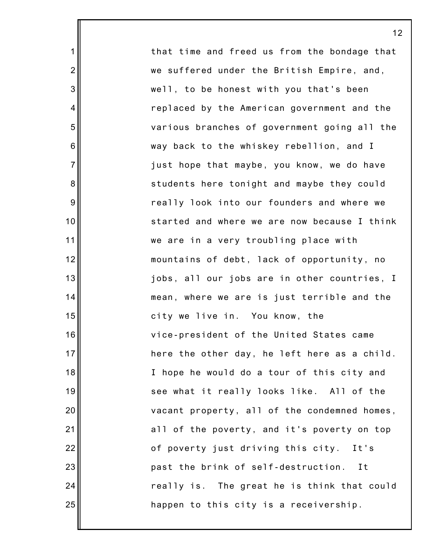that time and freed us from the bondage that we suffered under the British Empire, and, well, to be honest with you that's been replaced by the American government and the various branches of government going all the way back to the whiskey rebellion, and I just hope that maybe, you know, we do have students here tonight and maybe they could really look into our founders and where we started and where we are now because I think we are in a very troubling place with mountains of debt, lack of opportunity, no jobs, all our jobs are in other countries, I mean, where we are is just terrible and the city we live in. You know, the vice-president of the United States came here the other day, he left here as a child. I hope he would do a tour of this city and see what it really looks like. All of the vacant property, all of the condemned homes, all of the poverty, and it's poverty on top of poverty just driving this city. It's past the brink of self-destruction. It really is. The great he is think that could happen to this city is a receivership.

12

1

2

3

4

5

6

7

8

9

10

11

12

13

14

15

16

17

18

19

20

21

22

23

24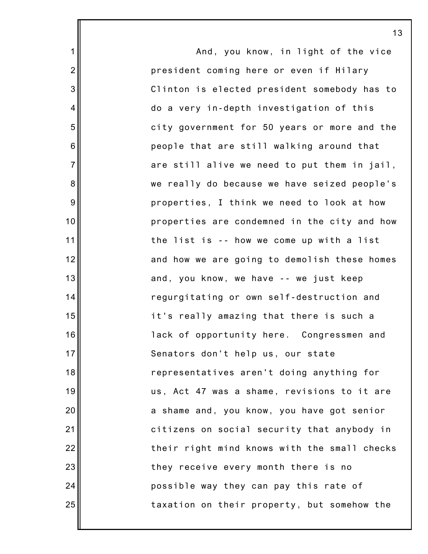And, you know, in light of the vice president coming here or even if Hilary Clinton is elected president somebody has to do a very in-depth investigation of this city government for 50 years or more and the people that are still walking around that are still alive we need to put them in jail, we really do because we have seized people's properties, I think we need to look at how properties are condemned in the city and how the list is -- how we come up with a list and how we are going to demolish these homes and, you know, we have -- we just keep regurgitating or own self-destruction and it's really amazing that there is such a lack of opportunity here. Congressmen and Senators don't help us, our state representatives aren't doing anything for us, Act 47 was a shame, revisions to it are a shame and, you know, you have got senior citizens on social security that anybody in their right mind knows with the small checks they receive every month there is no possible way they can pay this rate of taxation on their property, but somehow the

13

1

2

3

4

5

6

7

8

9

10

11

12

13

14

15

16

17

18

19

20

21

22

23

24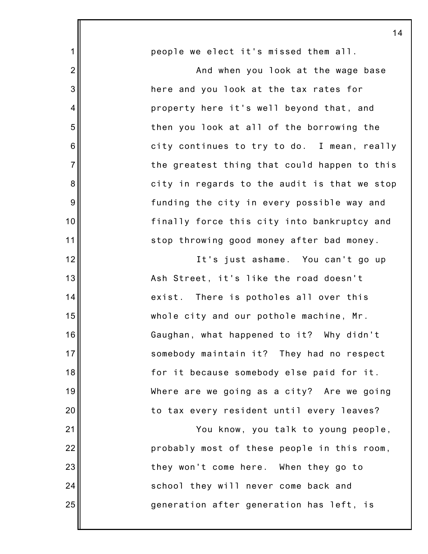|                 | 1                                            |
|-----------------|----------------------------------------------|
| 1               | people we elect it's missed them all.        |
| $\overline{2}$  | And when you look at the wage base           |
| 3               | here and you look at the tax rates for       |
| $\overline{4}$  | property here it's well beyond that, and     |
| 5               | then you look at all of the borrowing the    |
| $6\phantom{1}6$ | city continues to try to do. I mean, really  |
| $\overline{7}$  | the greatest thing that could happen to this |
| 8               | city in regards to the audit is that we stop |
| 9               | funding the city in every possible way and   |
| 10              | finally force this city into bankruptcy and  |
| 11              | stop throwing good money after bad money.    |
| 12              | It's just ashame. You can't go up            |
| 13              | Ash Street, it's like the road doesn't       |
| 14              | exist. There is potholes all over this       |
| 15              | whole city and our pothole machine, Mr.      |
| 16              | Gaughan, what happened to it? Why didn't     |
| 17              | somebody maintain it? They had no respect    |
| 18              | for it because somebody else paid for it.    |
| 19              | Where are we going as a city? Are we going   |
| 20              | to tax every resident until every leaves?    |
| 21              | You know, you talk to young people,          |
| 22              | probably most of these people in this room,  |
| 23              | they won't come here. When they go to        |
| 24              | school they will never come back and         |
| 25              | generation after generation has left, is     |
|                 |                                              |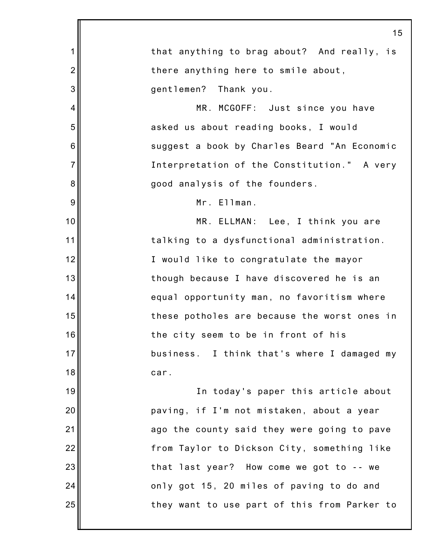|                | 15                                           |
|----------------|----------------------------------------------|
| $\mathbf 1$    | that anything to brag about? And really, is  |
| $\overline{2}$ | there anything here to smile about,          |
| 3              | gentlemen? Thank you.                        |
| $\overline{4}$ | MR. MCGOFF: Just since you have              |
| 5              | asked us about reading books, I would        |
| 6              | suggest a book by Charles Beard "An Economic |
| $\overline{7}$ | Interpretation of the Constitution." A very  |
| 8              | good analysis of the founders.               |
| 9              | Mr. Ellman.                                  |
| 10             | MR. ELLMAN: Lee, I think you are             |
| 11             | talking to a dysfunctional administration.   |
| 12             | I would like to congratulate the mayor       |
| 13             | though because I have discovered he is an    |
| 14             | equal opportunity man, no favoritism where   |
| 15             | these potholes are because the worst ones in |
| 16             | the city seem to be in front of his          |
| 17             | business. I think that's where I damaged my  |
| 18             | car.                                         |
| 19             | In today's paper this article about          |
| 20             | paving, if I'm not mistaken, about a year    |
| 21             | ago the county said they were going to pave  |
| 22             | from Taylor to Dickson City, something like  |
| 23             | that last year? How come we got to -- we     |
| 24             | only got 15, 20 miles of paving to do and    |
| 25             | they want to use part of this from Parker to |
|                |                                              |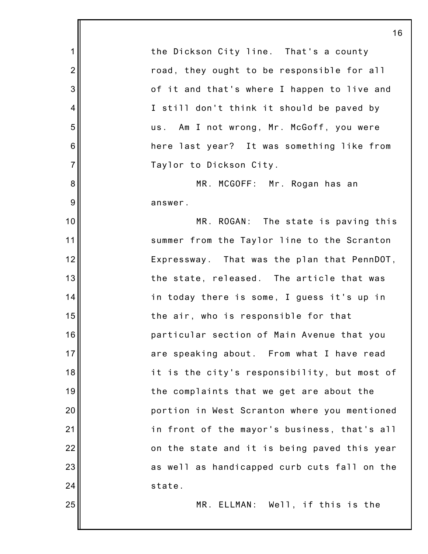1 2 3 4 5 6 7 8 9 10 11 12 13 14 15 16 17 18 19 20 21 22 23 24 25 16 the Dickson City line. That's a county road, they ought to be responsible for all of it and that's where I happen to live and I still don't think it should be paved by us. Am I not wrong, Mr. McGoff, you were here last year? It was something like from Taylor to Dickson City. MR. MCGOFF: Mr. Rogan has an answer. MR. ROGAN: The state is paving this summer from the Taylor line to the Scranton Expressway. That was the plan that PennDOT, the state, released. The article that was in today there is some, I guess it's up in the air, who is responsible for that particular section of Main Avenue that you are speaking about. From what I have read it is the city's responsibility, but most of the complaints that we get are about the portion in West Scranton where you mentioned in front of the mayor's business, that's all on the state and it is being paved this year as well as handicapped curb cuts fall on the state. MR. ELLMAN: Well, if this is the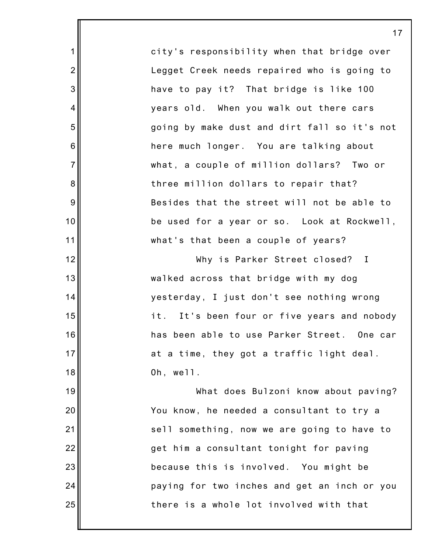city's responsibility when that bridge over Legget Creek needs repaired who is going to have to pay it? That bridge is like 100 years old. When you walk out there cars going by make dust and dirt fall so it's not here much longer. You are talking about what, a couple of million dollars? Two or three million dollars to repair that? Besides that the street will not be able to be used for a year or so. Look at Rockwell, what's that been a couple of years?

1

2

3

4

5

6

7

8

9

10

11

12

13

14

15

16

17

18

19

20

21

22

23

24

25

Why is Parker Street closed? I walked across that bridge with my dog yesterday, I just don't see nothing wrong it. It's been four or five years and nobody has been able to use Parker Street. One car at a time, they got a traffic light deal. Oh, well.

What does Bulzoni know about paving? You know, he needed a consultant to try a sell something, now we are going to have to get him a consultant tonight for paving because this is involved. You might be paying for two inches and get an inch or you there is a whole lot involved with that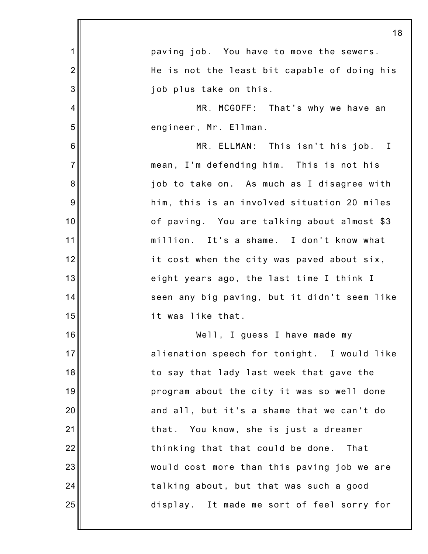|                | 18                                           |
|----------------|----------------------------------------------|
| 1              | paving job. You have to move the sewers.     |
| $\overline{2}$ | He is not the least bit capable of doing his |
| 3              | job plus take on this.                       |
| 4              | MR. MCGOFF: That's why we have an            |
| 5              | engineer, Mr. Ellman.                        |
| 6              | MR. ELLMAN: This isn't his job. I            |
| $\overline{7}$ | mean, I'm defending him. This is not his     |
| 8              | job to take on. As much as I disagree with   |
| 9              | him, this is an involved situation 20 miles  |
| 10             | of paving. You are talking about almost \$3  |
| 11             | million. It's a shame. I don't know what     |
| 12             | it cost when the city was paved about six,   |
| 13             | eight years ago, the last time I think I     |
| 14             | seen any big paving, but it didn't seem like |
| 15             | it was like that.                            |
| 16             | Well, I guess I have made my                 |
| 17             | alienation speech for tonight. I would like  |
| 18             | to say that lady last week that gave the     |
| 19             | program about the city it was so well done   |
| 20             | and all, but it's a shame that we can't do   |
| 21             | that. You know, she is just a dreamer        |
| 22             | thinking that that could be done.<br>That    |
| 23             | would cost more than this paving job we are  |
| 24             | talking about, but that was such a good      |
| 25             | display. It made me sort of feel sorry for   |
|                |                                              |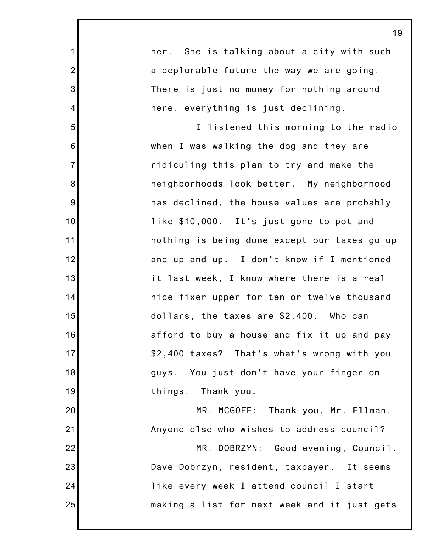|                | 19                                           |
|----------------|----------------------------------------------|
| 1              | her. She is talking about a city with such   |
| $\overline{2}$ | a deplorable future the way we are going.    |
| 3              | There is just no money for nothing around    |
| 4              | here, everything is just declining.          |
| 5              | I listened this morning to the radio         |
| 6              | when I was walking the dog and they are      |
| $\overline{7}$ | ridiculing this plan to try and make the     |
| 8              | neighborhoods look better. My neighborhood   |
| 9              | has declined, the house values are probably  |
| 10             | like \$10,000. It's just gone to pot and     |
| 11             | nothing is being done except our taxes go up |
| 12             | and up and up. I don't know if I mentioned   |
| 13             | it last week, I know where there is a real   |
| 14             | nice fixer upper for ten or twelve thousand  |
| 15             | dollars, the taxes are \$2,400. Who can      |
| 16             | afford to buy a house and fix it up and pay  |
| 17             | \$2,400 taxes? That's what's wrong with you  |
| 18             | guys. You just don't have your finger on     |
| 19             | things. Thank you.                           |
| 20             | MR. MCGOFF: Thank you, Mr. Ellman.           |
| 21             | Anyone else who wishes to address council?   |
| 22             | MR. DOBRZYN: Good evening, Council.          |
| 23             | Dave Dobrzyn, resident, taxpayer. It seems   |
| 24             | like every week I attend council I start     |
| 25             | making a list for next week and it just gets |
|                |                                              |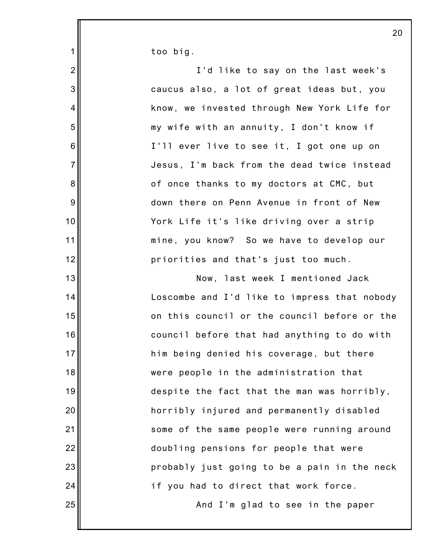too big.

1

2

3

4

5

6

7

8

9

10

11

12

13

14

15

16

17

18

19

20

21

22

23

24

25

I'd like to say on the last week's caucus also, a lot of great ideas but, you know, we invested through New York Life for my wife with an annuity, I don't know if I'll ever live to see it, I got one up on Jesus, I'm back from the dead twice instead of once thanks to my doctors at CMC, but down there on Penn Avenue in front of New York Life it's like driving over a strip mine, you know? So we have to develop our priorities and that's just too much. Now, last week I mentioned Jack council before that had anything to do with

Loscombe and I'd like to impress that nobody on this council or the council before or the him being denied his coverage, but there were people in the administration that despite the fact that the man was horribly, horribly injured and permanently disabled some of the same people were running around doubling pensions for people that were probably just going to be a pain in the neck if you had to direct that work force.

And I'm glad to see in the paper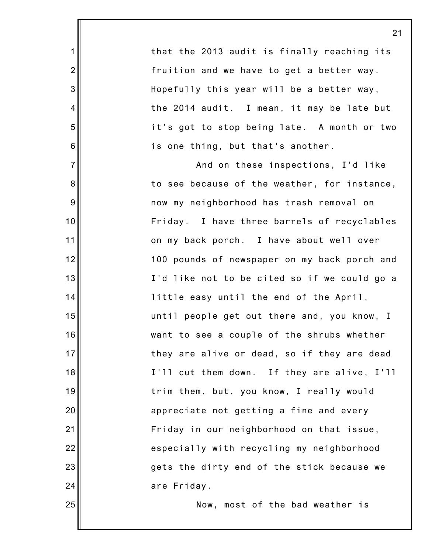that the 2013 audit is finally reaching its fruition and we have to get a better way. Hopefully this year will be a better way, the 2014 audit. I mean, it may be late but it's got to stop being late. A month or two is one thing, but that's another.

1

2

3

4

5

6

7

8

9

10

11

12

13

14

15

16

17

18

19

20

21

22

23

24

25

And on these inspections, I'd like to see because of the weather, for instance, now my neighborhood has trash removal on Friday. I have three barrels of recyclables on my back porch. I have about well over 100 pounds of newspaper on my back porch and I'd like not to be cited so if we could go a little easy until the end of the April, until people get out there and, you know, I want to see a couple of the shrubs whether they are alive or dead, so if they are dead I'll cut them down. If they are alive, I'll trim them, but, you know, I really would appreciate not getting a fine and every Friday in our neighborhood on that issue, especially with recycling my neighborhood gets the dirty end of the stick because we are Friday.

Now, most of the bad weather is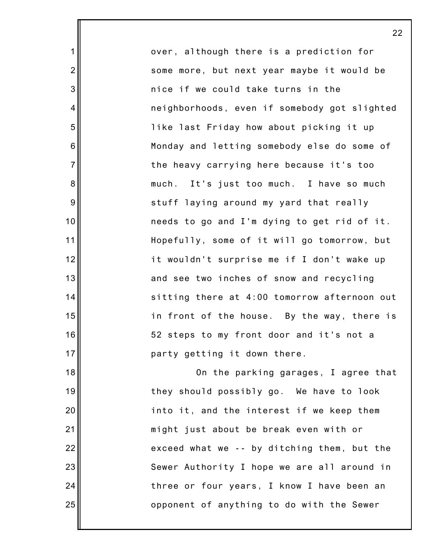over, although there is a prediction for some more, but next year maybe it would be nice if we could take turns in the neighborhoods, even if somebody got slighted like last Friday how about picking it up Monday and letting somebody else do some of the heavy carrying here because it's too much. It's just too much. I have so much stuff laying around my yard that really needs to go and I'm dying to get rid of it. Hopefully, some of it will go tomorrow, but it wouldn't surprise me if I don't wake up and see two inches of snow and recycling sitting there at 4:00 tomorrow afternoon out in front of the house. By the way, there is 52 steps to my front door and it's not a party getting it down there. On the parking garages, I agree that

1

2

3

4

5

6

7

8

9

10

11

12

13

14

15

16

17

18

19

20

21

22

23

24

25

they should possibly go. We have to look into it, and the interest if we keep them might just about be break even with or exceed what we -- by ditching them, but the Sewer Authority I hope we are all around in three or four years, I know I have been an opponent of anything to do with the Sewer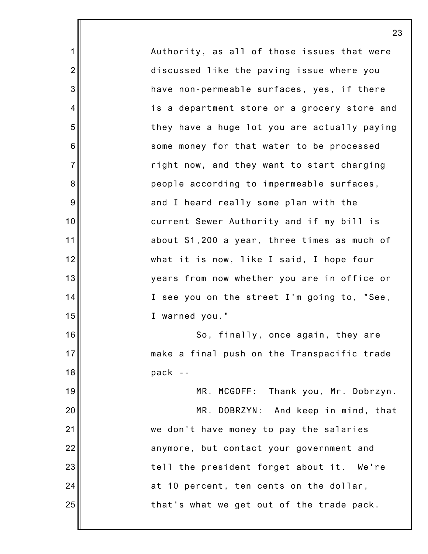Authority, as all of those issues that were discussed like the paving issue where you have non-permeable surfaces, yes, if there is a department store or a grocery store and they have a huge lot you are actually paying some money for that water to be processed right now, and they want to start charging people according to impermeable surfaces, and I heard really some plan with the current Sewer Authority and if my bill is about \$1,200 a year, three times as much of what it is now, like I said, I hope four years from now whether you are in office or I see you on the street I'm going to, "See, I warned you." So, finally, once again, they are make a final push on the Transpacific trade pack -- MR. MCGOFF: Thank you, Mr. Dobrzyn.

1

2

3

4

5

6

7

8

9

10

11

12

13

14

15

16

17

18

19

20 21 22 23 24 25 MR. DOBRZYN: And keep in mind, that we don't have money to pay the salaries anymore, but contact your government and tell the president forget about it. We're at 10 percent, ten cents on the dollar, that's what we get out of the trade pack.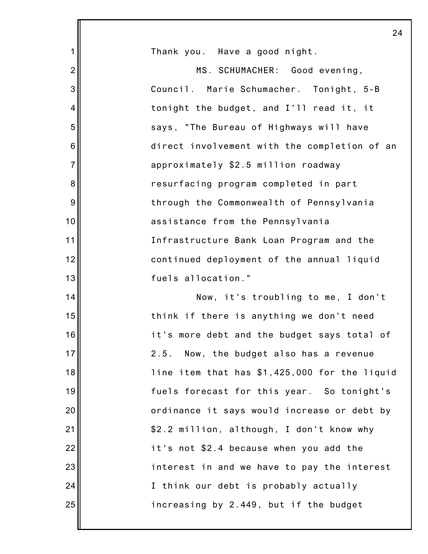|                | 24                                            |
|----------------|-----------------------------------------------|
| 1              | Thank you. Have a good night.                 |
| $\overline{2}$ | MS. SCHUMACHER: Good evening,                 |
| 3              | Council. Marie Schumacher. Tonight, 5-B       |
| 4              | tonight the budget, and I'll read it, it      |
| 5              | says, "The Bureau of Highways will have       |
| 6              | direct involvement with the completion of an  |
| $\overline{7}$ | approximately \$2.5 million roadway           |
| 8              | resurfacing program completed in part         |
| 9              | through the Commonwealth of Pennsylvania      |
| 10             | assistance from the Pennsylvania              |
| 11             | Infrastructure Bank Loan Program and the      |
| 12             | continued deployment of the annual liquid     |
| 13             | fuels allocation."                            |
| 14             | Now, it's troubling to me, I don't            |
| 15             | think if there is anything we don't need      |
| 16             | it's more debt and the budget says total of   |
| 17             | 2.5. Now, the budget also has a revenue       |
| 18             | line item that has \$1,425,000 for the liquid |
| 19             | fuels forecast for this year. So tonight's    |
| 20             | ordinance it says would increase or debt by   |
| 21             | \$2.2 million, although, I don't know why     |
| 22             | it's not \$2.4 because when you add the       |
| 23             | interest in and we have to pay the interest   |
| 24             | I think our debt is probably actually         |
| 25             | increasing by 2.449, but if the budget        |
|                |                                               |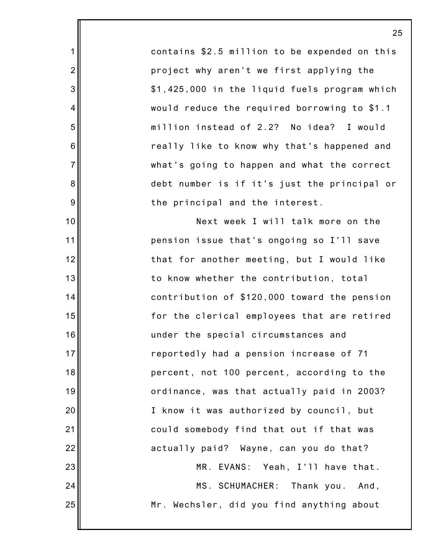contains \$2.5 million to be expended on this project why aren't we first applying the \$1,425,000 in the liquid fuels program which would reduce the required borrowing to \$1.1 million instead of 2.2? No idea? I would really like to know why that's happened and what's going to happen and what the correct debt number is if it's just the principal or the principal and the interest.

1

2

3

4

5

6

7

8

9

10

11

12

13

14

15

16

17

18

19

20

21

22

23

24

25

Next week I will talk more on the pension issue that's ongoing so I'll save that for another meeting, but I would like to know whether the contribution, total contribution of \$120,000 toward the pension for the clerical employees that are retired under the special circumstances and reportedly had a pension increase of 71 percent, not 100 percent, according to the ordinance, was that actually paid in 2003? I know it was authorized by council, but could somebody find that out if that was actually paid? Wayne, can you do that? MR. EVANS: Yeah, I'll have that. MS. SCHUMACHER: Thank you. And, Mr. Wechsler, did you find anything about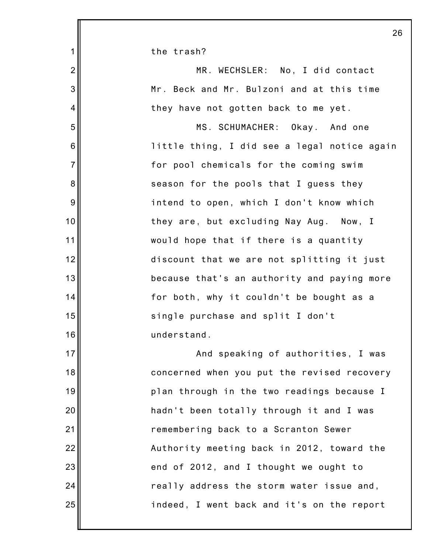|                | 26                                           |
|----------------|----------------------------------------------|
| 1              | the trash?                                   |
| $\overline{2}$ | MR. WECHSLER: No, I did contact              |
| 3              | Mr. Beck and Mr. Bulzoni and at this time    |
| 4              | they have not gotten back to me yet.         |
| 5              | MS. SCHUMACHER: Okay. And one                |
| 6              | little thing, I did see a legal notice again |
| $\overline{7}$ | for pool chemicals for the coming swim       |
| 8              | season for the pools that I guess they       |
| 9              | intend to open, which I don't know which     |
| 10             | they are, but excluding Nay Aug. Now, I      |
| 11             | would hope that if there is a quantity       |
| 12             | discount that we are not splitting it just   |
| 13             | because that's an authority and paying more  |
| 14             | for both, why it couldn't be bought as a     |
| 15             | single purchase and split I don't            |
| 16             | understand.                                  |
| 17             | And speaking of authorities, I was           |
| 18             | concerned when you put the revised recovery  |
| 19             | plan through in the two readings because I   |
| 20             | hadn't been totally through it and I was     |
| 21             | remembering back to a Scranton Sewer         |
| 22             | Authority meeting back in 2012, toward the   |
| 23             | end of 2012, and I thought we ought to       |
| 24             | really address the storm water issue and,    |
| 25             | indeed, I went back and it's on the report   |
|                |                                              |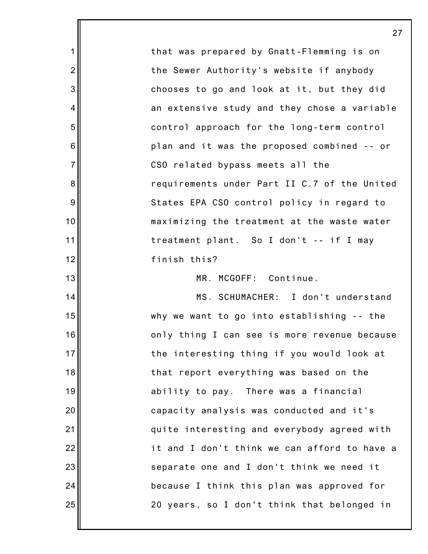27 that was prepared by Gnatt-Flemming is on the Sewer Authority's website if anybody chooses to go and look at it, but they did an extensive study and they chose a variable control approach for the long-term control plan and it was the proposed combined -- or CSO related bypass meets all the requirements under Part II C.7 of the United States EPA CSO control policy in regard to maximizing the treatment at the waste water treatment plant. So I don't -- if I may finish this? MR. MCGOFF: Continue. MS. SCHUMACHER: I don't understand why we want to go into establishing -- the only thing I can see is more revenue because the interesting thing if you would look at that report everything was based on the ability to pay. There was a financial capacity analysis was conducted and it's quite interesting and everybody agreed with it and I don't think we can afford to have a separate one and I don't think we need it because I think this plan was approved for 20 years, so I don't think that belonged in

1

2

3

4

5

6

7

8

9

10

11

12

13

14

15

16

17

18

19

20

21

22

23

24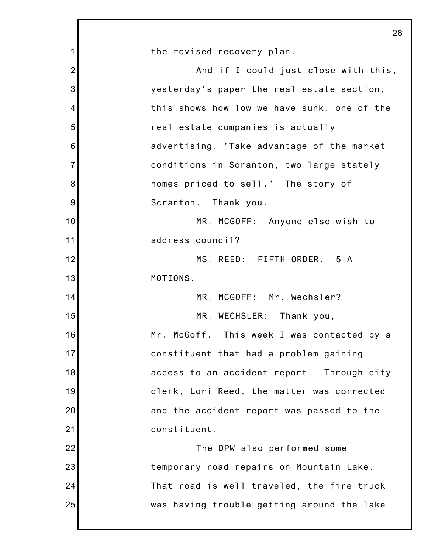|                | 28                                          |
|----------------|---------------------------------------------|
| 1              | the revised recovery plan.                  |
| $\overline{2}$ | And if I could just close with this,        |
| 3              | yesterday's paper the real estate section,  |
| 4              | this shows how low we have sunk, one of the |
| 5              | real estate companies is actually           |
| 6              | advertising, "Take advantage of the market  |
| $\overline{7}$ | conditions in Scranton, two large stately   |
| 8              | homes priced to sell." The story of         |
| 9              | Scranton. Thank you.                        |
| 10             | MR. MCGOFF: Anyone else wish to             |
| 11             | address council?                            |
| 12             | MS. REED: FIFTH ORDER. 5-A                  |
| 13             | MOTIONS.                                    |
| 14             | MR. MCGOFF: Mr. Wechsler?                   |
| 15             | MR. WECHSLER: Thank you,                    |
| 16             | Mr. McGoff. This week I was contacted by a  |
| 17             | constituent that had a problem gaining      |
| 18             | access to an accident report. Through city  |
| 19             | clerk, Lori Reed, the matter was corrected  |
| 20             | and the accident report was passed to the   |
| 21             | constituent.                                |
| 22             | The DPW also performed some                 |
| 23             | temporary road repairs on Mountain Lake.    |
| 24             | That road is well traveled, the fire truck  |
| 25             | was having trouble getting around the lake  |
|                |                                             |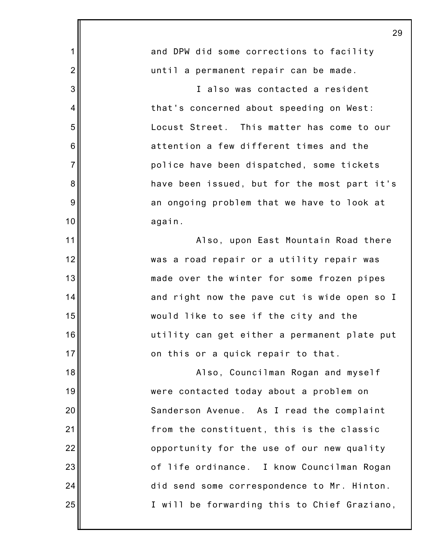|                | 29                                           |
|----------------|----------------------------------------------|
| 1              | and DPW did some corrections to facility     |
| $\overline{2}$ | until a permanent repair can be made.        |
| 3              | I also was contacted a resident              |
| 4              | that's concerned about speeding on West:     |
| 5              | Locust Street. This matter has come to our   |
| 6              | attention a few different times and the      |
| $\overline{7}$ | police have been dispatched, some tickets    |
| 8              | have been issued, but for the most part it's |
| 9              | an ongoing problem that we have to look at   |
| 10             | again.                                       |
| 11             | Also, upon East Mountain Road there          |
| 12             | was a road repair or a utility repair was    |
| 13             | made over the winter for some frozen pipes   |
| 14             | and right now the pave cut is wide open so I |
| 15             | would like to see if the city and the        |
| 16             | utility can get either a permanent plate put |
| 17             | on this or a quick repair to that.           |
| 18             | Also, Councilman Rogan and myself            |
| 19             | were contacted today about a problem on      |
| 20             | Sanderson Avenue. As I read the complaint    |
| 21             | from the constituent, this is the classic    |
| 22             | opportunity for the use of our new quality   |
| 23             | of life ordinance. I know Councilman Rogan   |
| 24             | did send some correspondence to Mr. Hinton.  |
| 25             | I will be forwarding this to Chief Graziano, |
|                |                                              |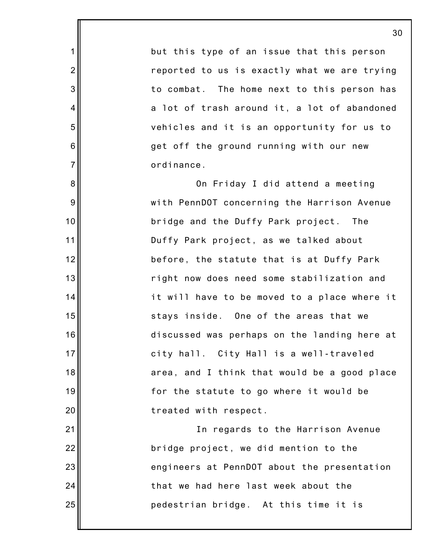but this type of an issue that this person reported to us is exactly what we are trying to combat. The home next to this person has a lot of trash around it, a lot of abandoned vehicles and it is an opportunity for us to get off the ground running with our new ordinance.

1

2

3

4

5

6

7

8

9

10

11

12

13

14

15

16

17

18

19

20

21

22

23

24

25

On Friday I did attend a meeting with PennDOT concerning the Harrison Avenue bridge and the Duffy Park project. The Duffy Park project, as we talked about before, the statute that is at Duffy Park right now does need some stabilization and it will have to be moved to a place where it stays inside. One of the areas that we discussed was perhaps on the landing here at city hall. City Hall is a well-traveled area, and I think that would be a good place for the statute to go where it would be treated with respect.

In regards to the Harrison Avenue bridge project, we did mention to the engineers at PennDOT about the presentation that we had here last week about the pedestrian bridge. At this time it is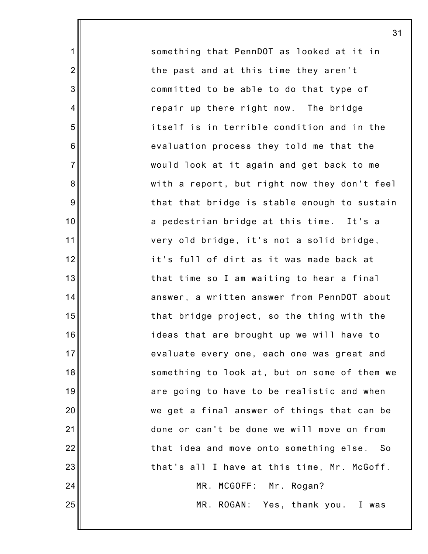something that PennDOT as looked at it in the past and at this time they aren't committed to be able to do that type of repair up there right now. The bridge itself is in terrible condition and in the evaluation process they told me that the would look at it again and get back to me with a report, but right now they don't feel that that bridge is stable enough to sustain a pedestrian bridge at this time. It's a very old bridge, it's not a solid bridge, it's full of dirt as it was made back at that time so I am waiting to hear a final answer, a written answer from PennDOT about that bridge project, so the thing with the ideas that are brought up we will have to evaluate every one, each one was great and something to look at, but on some of them we are going to have to be realistic and when we get a final answer of things that can be done or can't be done we will move on from that idea and move onto something else. So that's all I have at this time, Mr. McGoff. MR. MCGOFF: Mr. Rogan? MR. ROGAN: Yes, thank you. I was

31

1

2

3

4

5

6

7

8

9

10

11

12

13

14

15

16

17

18

19

20

21

22

23

24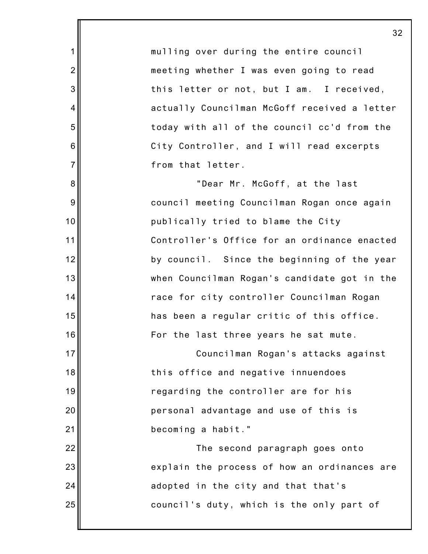|                | 3                                            |
|----------------|----------------------------------------------|
| 1              | mulling over during the entire council       |
| $\overline{2}$ | meeting whether I was even going to read     |
| 3              | this letter or not, but I am. I received,    |
| 4              | actually Councilman McGoff received a letter |
| 5              | today with all of the council cc'd from the  |
| 6              | City Controller, and I will read excerpts    |
| $\overline{7}$ | from that letter.                            |
| 8              | "Dear Mr. McGoff, at the last                |
| 9              | council meeting Councilman Rogan once again  |
| 10             | publically tried to blame the City           |
| 11             | Controller's Office for an ordinance enacted |
| 12             | by council. Since the beginning of the year  |
| 13             | when Councilman Rogan's candidate got in the |
| 14             | race for city controller Councilman Rogan    |
| 15             | has been a regular critic of this office.    |
| 16             | For the last three years he sat mute.        |
| 17             | Councilman Rogan's attacks against           |
| 18             | this office and negative innuendoes          |
| 19             | regarding the controller are for his         |
| 20             | personal advantage and use of this is        |
| 21             | becoming a habit."                           |
| 22             | The second paragraph goes onto               |
| 23             | explain the process of how an ordinances are |
| 24             | adopted in the city and that that's          |
| 25             | council's duty, which is the only part of    |
|                |                                              |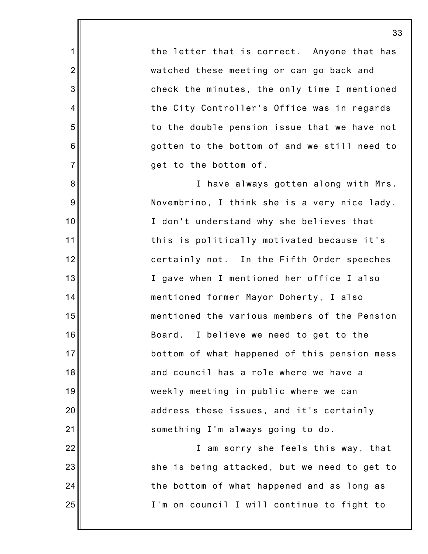the letter that is correct. Anyone that has watched these meeting or can go back and check the minutes, the only time I mentioned the City Controller's Office was in regards to the double pension issue that we have not gotten to the bottom of and we still need to get to the bottom of.

1

2

3

4

5

6

7

8

9

10

11

12

13

14

15

16

17

18

19

20

21

22

23

24

25

I have always gotten along with Mrs. Novembrino, I think she is a very nice lady. I don't understand why she believes that this is politically motivated because it's certainly not. In the Fifth Order speeches I gave when I mentioned her office I also mentioned former Mayor Doherty, I also mentioned the various members of the Pension Board. I believe we need to get to the bottom of what happened of this pension mess and council has a role where we have a weekly meeting in public where we can address these issues, and it's certainly something I'm always going to do.

I am sorry she feels this way, that she is being attacked, but we need to get to the bottom of what happened and as long as I'm on council I will continue to fight to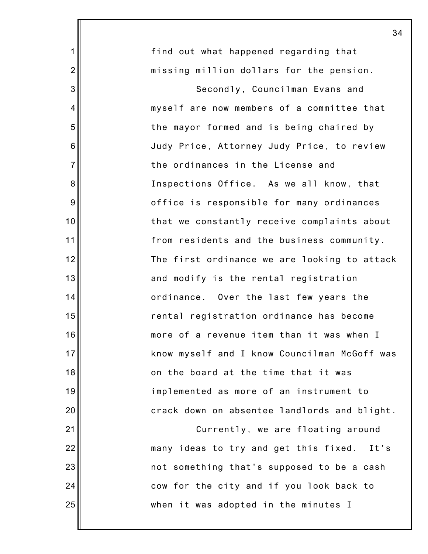|                | 34                                           |
|----------------|----------------------------------------------|
| 1              | find out what happened regarding that        |
| $\overline{2}$ | missing million dollars for the pension.     |
| 3              | Secondly, Councilman Evans and               |
| 4              | myself are now members of a committee that   |
| 5              | the mayor formed and is being chaired by     |
| 6              | Judy Price, Attorney Judy Price, to review   |
| $\overline{7}$ | the ordinances in the License and            |
| 8              | Inspections Office. As we all know, that     |
| 9              | office is responsible for many ordinances    |
| 10             | that we constantly receive complaints about  |
| 11             | from residents and the business community.   |
| 12             | The first ordinance we are looking to attack |
| 13             | and modify is the rental registration        |
| 14             | ordinance. Over the last few years the       |
| 15             | rental registration ordinance has become     |
| 16             | more of a revenue item than it was when I    |
| 17             | know myself and I know Councilman McGoff was |
| 18             | on the board at the time that it was         |
| 19             | implemented as more of an instrument to      |
| 20             | crack down on absentee landlords and blight. |
| 21             | Currently, we are floating around            |
| 22             | many ideas to try and get this fixed. It's   |
| 23             | not something that's supposed to be a cash   |
| 24             | cow for the city and if you look back to     |
| 25             | when it was adopted in the minutes I         |
|                |                                              |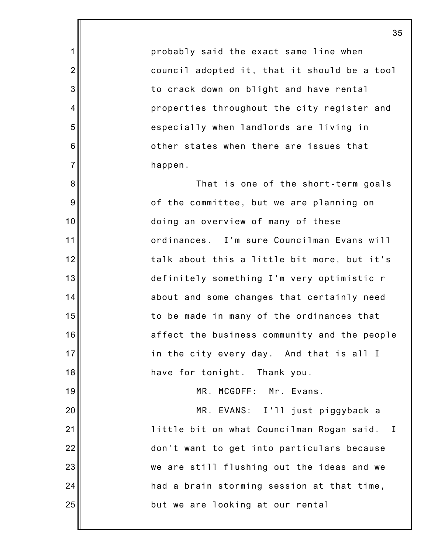probably said the exact same line when council adopted it, that it should be a tool to crack down on blight and have rental properties throughout the city register and especially when landlords are living in other states when there are issues that happen.

1

2

3

4

5

6

7

8

9

10

11

12

13

14

15

16

17

18

19

20

21

22

23

24

25

That is one of the short-term goals of the committee, but we are planning on doing an overview of many of these ordinances. I'm sure Councilman Evans will talk about this a little bit more, but it's definitely something I'm very optimistic r about and some changes that certainly need to be made in many of the ordinances that affect the business community and the people in the city every day. And that is all I have for tonight. Thank you.

MR. MCGOFF: Mr. Evans.

MR. EVANS: I'll just piggyback a little bit on what Councilman Rogan said. I don't want to get into particulars because we are still flushing out the ideas and we had a brain storming session at that time, but we are looking at our rental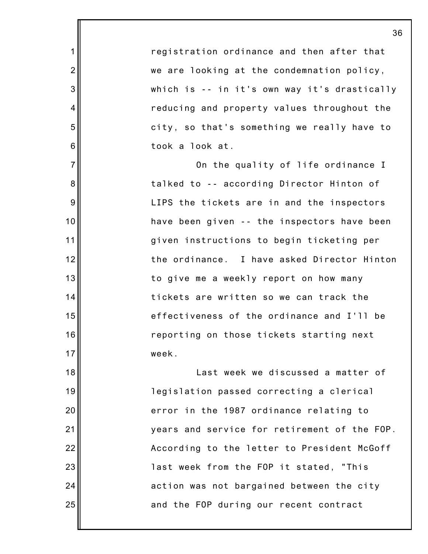1 2 3 4 5 6 7 8 9 10 11 12 13 14 15 16 17 18 19 20 21 22 23 24 25 registration ordinance and then after that we are looking at the condemnation policy, which is -- in it's own way it's drastically reducing and property values throughout the city, so that's something we really have to took a look at. On the quality of life ordinance I talked to -- according Director Hinton of LIPS the tickets are in and the inspectors have been given -- the inspectors have been given instructions to begin ticketing per the ordinance. I have asked Director Hinton to give me a weekly report on how many tickets are written so we can track the effectiveness of the ordinance and I'll be reporting on those tickets starting next week. Last week we discussed a matter of legislation passed correcting a clerical error in the 1987 ordinance relating to years and service for retirement of the FOP. According to the letter to President McGoff last week from the FOP it stated, "This action was not bargained between the city and the FOP during our recent contract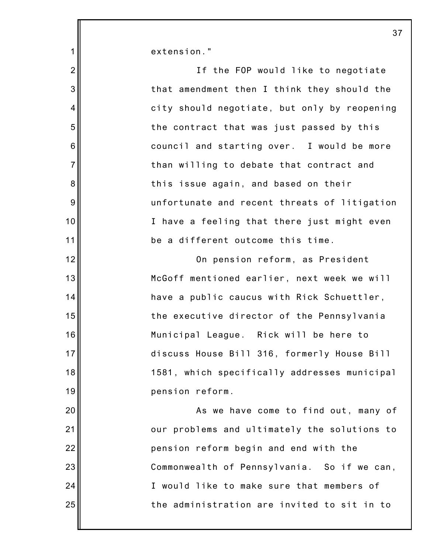extension."

1

2 3 4 5 6 7 8 9 10 11 12 13 14 15 16 17 18 19 20 21 22 23 24 25 If the FOP would like to negotiate that amendment then I think they should the city should negotiate, but only by reopening the contract that was just passed by this council and starting over. I would be more than willing to debate that contract and this issue again, and based on their unfortunate and recent threats of litigation I have a feeling that there just might even be a different outcome this time. On pension reform, as President McGoff mentioned earlier, next week we will have a public caucus with Rick Schuettler, the executive director of the Pennsylvania Municipal League. Rick will be here to discuss House Bill 316, formerly House Bill 1581, which specifically addresses municipal pension reform. As we have come to find out, many of our problems and ultimately the solutions to pension reform begin and end with the Commonwealth of Pennsylvania. So if we can, I would like to make sure that members of the administration are invited to sit in to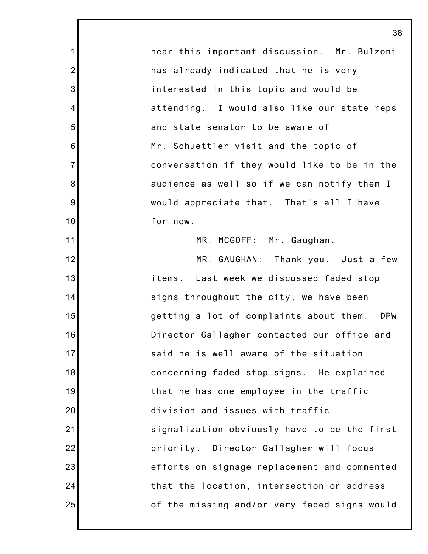1 2 3 4 5 6 7 8 9 10 11 12 13 14 15 16 17 18 19 20 21 22 23 24 25 38 hear this important discussion. Mr. Bulzoni has already indicated that he is very interested in this topic and would be attending. I would also like our state reps and state senator to be aware of Mr. Schuettler visit and the topic of conversation if they would like to be in the audience as well so if we can notify them I would appreciate that. That's all I have for now. MR. MCGOFF: Mr. Gaughan. MR. GAUGHAN: Thank you. Just a few items. Last week we discussed faded stop signs throughout the city, we have been getting a lot of complaints about them. DPW Director Gallagher contacted our office and said he is well aware of the situation concerning faded stop signs. He explained that he has one employee in the traffic division and issues with traffic signalization obviously have to be the first priority. Director Gallagher will focus efforts on signage replacement and commented that the location, intersection or address of the missing and/or very faded signs would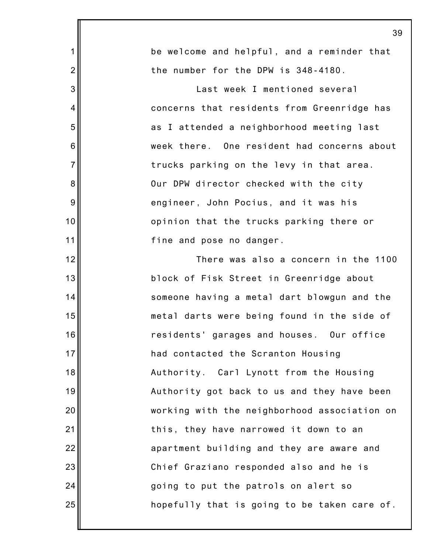|                  | 39                                           |
|------------------|----------------------------------------------|
| 1                | be welcome and helpful, and a reminder that  |
| $\overline{2}$   | the number for the DPW is 348-4180.          |
| 3                | Last week I mentioned several                |
| $\overline{4}$   | concerns that residents from Greenridge has  |
| 5                | as I attended a neighborhood meeting last    |
| $\,6$            | week there. One resident had concerns about  |
| $\overline{7}$   | trucks parking on the levy in that area.     |
| 8                | Our DPW director checked with the city       |
| $\boldsymbol{9}$ | engineer, John Pocius, and it was his        |
| 10               | opinion that the trucks parking there or     |
| 11               | fine and pose no danger.                     |
| 12               | There was also a concern in the 1100         |
| 13               | block of Fisk Street in Greenridge about     |
| 14               | someone having a metal dart blowgun and the  |
| 15               | metal darts were being found in the side of  |
| 16               | residents' garages and houses. Our office    |
| 17               | had contacted the Scranton Housing           |
| 18               | Authority. Carl Lynott from the Housing      |
| 19               | Authority got back to us and they have been  |
| 20               | working with the neighborhood association on |
| 21               | this, they have narrowed it down to an       |
| 22               | apartment building and they are aware and    |
| 23               | Chief Graziano responded also and he is      |
| 24               | going to put the patrols on alert so         |
| 25               | hopefully that is going to be taken care of. |
|                  |                                              |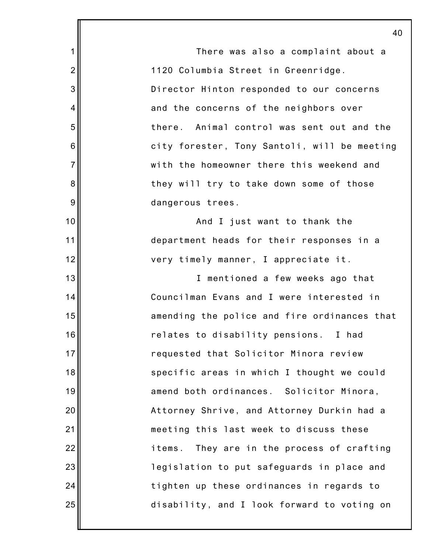|                | 40                                            |
|----------------|-----------------------------------------------|
| $\mathbf 1$    | There was also a complaint about a            |
| $\overline{2}$ | 1120 Columbia Street in Greenridge.           |
| 3              | Director Hinton responded to our concerns     |
| 4              | and the concerns of the neighbors over        |
| 5              | there. Animal control was sent out and the    |
| 6              | city forester, Tony Santoli, will be meeting  |
| $\overline{7}$ | with the homeowner there this weekend and     |
| 8              | they will try to take down some of those      |
| 9              | dangerous trees.                              |
| 10             | And I just want to thank the                  |
| 11             | department heads for their responses in a     |
| 12             | very timely manner, I appreciate it.          |
| 13             | I mentioned a few weeks ago that              |
| 14             | Councilman Evans and I were interested in     |
| 15             | amending the police and fire ordinances that  |
| 16             | relates to disability pensions. I had         |
| 17             | requested that Solicitor Minora review        |
| 18             | specific areas in which I thought we could    |
| 19             | amend both ordinances. Solicitor Minora,      |
| 20             | Attorney Shrive, and Attorney Durkin had a    |
| 21             | meeting this last week to discuss these       |
| 22             | They are in the process of crafting<br>items. |
| 23             | legislation to put safeguards in place and    |
| 24             | tighten up these ordinances in regards to     |
| 25             | disability, and I look forward to voting on   |
|                |                                               |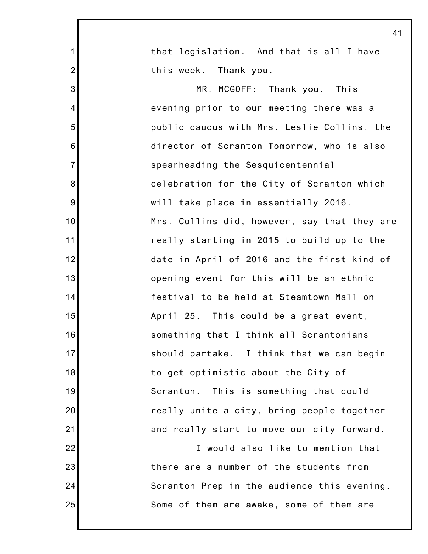|                | 41                                           |
|----------------|----------------------------------------------|
| $\mathbf 1$    | that legislation. And that is all I have     |
| $\overline{2}$ | this week. Thank you.                        |
| 3              | MR. MCGOFF: Thank you. This                  |
| $\overline{4}$ | evening prior to our meeting there was a     |
| 5              | public caucus with Mrs. Leslie Collins, the  |
| 6              | director of Scranton Tomorrow, who is also   |
| $\overline{7}$ | spearheading the Sesquicentennial            |
| 8              | celebration for the City of Scranton which   |
| 9              | will take place in essentially 2016.         |
| 10             | Mrs. Collins did, however, say that they are |
| 11             | really starting in 2015 to build up to the   |
| 12             | date in April of 2016 and the first kind of  |
| 13             | opening event for this will be an ethnic     |
| 14             | festival to be held at Steamtown Mall on     |
| 15             | April 25. This could be a great event,       |
| 16             | something that I think all Scrantonians      |
| 17             | should partake. I think that we can begin    |
| 18             | to get optimistic about the City of          |
| 19             | Scranton. This is something that could       |
| 20             | really unite a city, bring people together   |
| 21             | and really start to move our city forward.   |
| 22             | I would also like to mention that            |
| 23             | there are a number of the students from      |
| 24             | Scranton Prep in the audience this evening.  |
| 25             | Some of them are awake, some of them are     |
|                |                                              |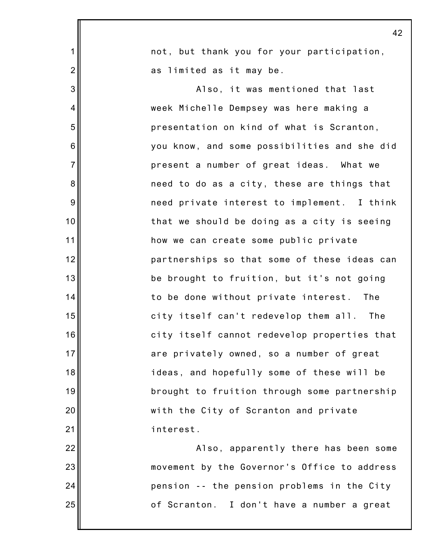|                | 42                                           |
|----------------|----------------------------------------------|
| $\mathbf 1$    | not, but thank you for your participation,   |
| $\overline{2}$ | as limited as it may be.                     |
| 3              | Also, it was mentioned that last             |
| 4              | week Michelle Dempsey was here making a      |
| 5              | presentation on kind of what is Scranton,    |
| 6              | you know, and some possibilities and she did |
| $\overline{7}$ | present a number of great ideas. What we     |
| 8              | need to do as a city, these are things that  |
| 9              | need private interest to implement. I think  |
| 10             | that we should be doing as a city is seeing  |
| 11             | how we can create some public private        |
| 12             | partnerships so that some of these ideas can |
| 13             | be brought to fruition, but it's not going   |
| 14             | to be done without private interest. The     |
| 15             | city itself can't redevelop them all. The    |
| 16             | city itself cannot redevelop properties that |
| 17             | are privately owned, so a number of great    |
| 18             | ideas, and hopefully some of these will be   |
| 19             | brought to fruition through some partnership |
| 20             | with the City of Scranton and private        |
| 21             | interest.                                    |
| 22             | Also, apparently there has been some         |
| 23             | movement by the Governor's Office to address |
| 24             | pension -- the pension problems in the City  |
| 25             | of Scranton. I don't have a number a great   |
|                |                                              |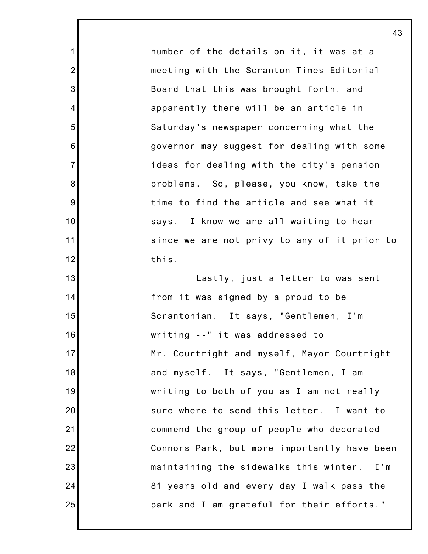number of the details on it, it was at a meeting with the Scranton Times Editorial Board that this was brought forth, and apparently there will be an article in Saturday's newspaper concerning what the governor may suggest for dealing with some ideas for dealing with the city's pension problems. So, please, you know, take the time to find the article and see what it says. I know we are all waiting to hear since we are not privy to any of it prior to this.

1

2

3

4

5

6

7

8

9

10

11

12

13

14

15

16

17

18

19

20

21

22

23

24

25

Lastly, just a letter to was sent from it was signed by a proud to be Scrantonian. It says, "Gentlemen, I'm writing --" it was addressed to Mr. Courtright and myself, Mayor Courtright and myself. It says, "Gentlemen, I am writing to both of you as I am not really sure where to send this letter. I want to commend the group of people who decorated Connors Park, but more importantly have been maintaining the sidewalks this winter. I'm 81 years old and every day I walk pass the park and I am grateful for their efforts."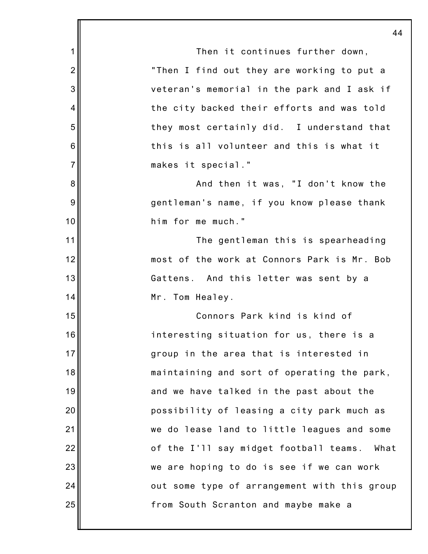|                | 44                                             |
|----------------|------------------------------------------------|
| 1              | Then it continues further down,                |
| $\overline{2}$ | "Then I find out they are working to put a     |
| 3              | veteran's memorial in the park and I ask if    |
| 4              | the city backed their efforts and was told     |
| 5              | they most certainly did. I understand that     |
| 6              | this is all volunteer and this is what it      |
| $\overline{7}$ | makes it special."                             |
| 8              | And then it was, "I don't know the             |
| 9              | gentleman's name, if you know please thank     |
| 10             | him for me much."                              |
| 11             | The gentleman this is spearheading             |
| 12             | most of the work at Connors Park is Mr. Bob    |
| 13             | Gattens. And this letter was sent by a         |
| 14             | Mr. Tom Healey.                                |
| 15             | Connors Park kind is kind of                   |
| 16             | interesting situation for us, there is a       |
| 17             | group in the area that is interested in        |
| 18             | maintaining and sort of operating the park,    |
| 19             | and we have talked in the past about the       |
| 20             | possibility of leasing a city park much as     |
| 21             | we do lease land to little leagues and some    |
| 22             | of the I'll say midget football teams.<br>What |
| 23             | we are hoping to do is see if we can work      |
| 24             | out some type of arrangement with this group   |
| 25             | from South Scranton and maybe make a           |
|                |                                                |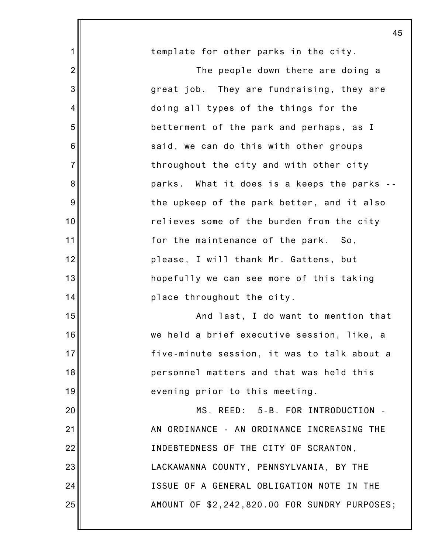|                | 45                                            |
|----------------|-----------------------------------------------|
| $\mathbf 1$    | template for other parks in the city.         |
| $\overline{2}$ | The people down there are doing a             |
| 3              | great job. They are fundraising, they are     |
| 4              | doing all types of the things for the         |
| 5              | betterment of the park and perhaps, as I      |
| 6              | said, we can do this with other groups        |
| $\overline{7}$ | throughout the city and with other city       |
| 8              | parks. What it does is a keeps the parks --   |
| 9              | the upkeep of the park better, and it also    |
| 10             | relieves some of the burden from the city     |
| 11             | for the maintenance of the park. So,          |
| 12             | please, I will thank Mr. Gattens, but         |
| 13             | hopefully we can see more of this taking      |
| 14             | place throughout the city.                    |
| 15             | And last, I do want to mention that           |
| 16             | we held a brief executive session, like, a    |
| 17             | five-minute session, it was to talk about a   |
| 18             | personnel matters and that was held this      |
| 19             | evening prior to this meeting.                |
| 20             | MS. REED: 5-B. FOR INTRODUCTION -             |
| 21             | AN ORDINANCE - AN ORDINANCE INCREASING THE    |
| 22             | INDEBTEDNESS OF THE CITY OF SCRANTON,         |
| 23             | LACKAWANNA COUNTY, PENNSYLVANIA, BY THE       |
| 24             | ISSUE OF A GENERAL OBLIGATION NOTE IN THE     |
| 25             | AMOUNT OF \$2,242,820.00 FOR SUNDRY PURPOSES; |
|                |                                               |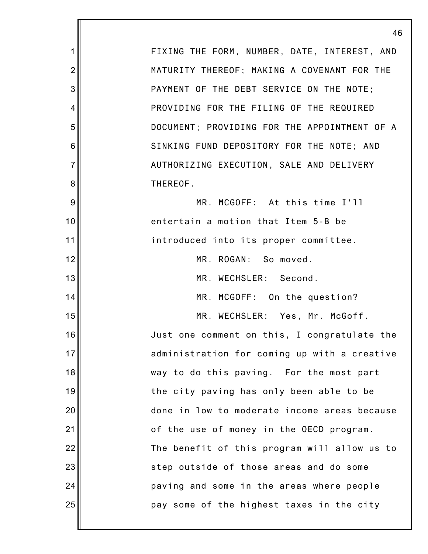FIXING THE FORM, NUMBER, DATE, INTEREST, AND MATURITY THEREOF; MAKING A COVENANT FOR THE PAYMENT OF THE DEBT SERVICE ON THE NOTE; PROVIDING FOR THE FILING OF THE REQUIRED DOCUMENT; PROVIDING FOR THE APPOINTMENT OF A SINKING FUND DEPOSITORY FOR THE NOTE; AND AUTHORIZING EXECUTION, SALE AND DELIVERY THEREOF. MR. MCGOFF: At this time I'll entertain a motion that Item 5-B be introduced into its proper committee. MR. ROGAN: So moved. MR. WECHSLER: Second. MR. MCGOFF: On the question? MR. WECHSLER: Yes, Mr. McGoff.

1

2

3

4

5

6

7

8

9

10

11

12

13

14

15

16

17

18

19

20

21

22

23

24

25

Just one comment on this, I congratulate the administration for coming up with a creative way to do this paving. For the most part the city paving has only been able to be done in low to moderate income areas because of the use of money in the OECD program. The benefit of this program will allow us to step outside of those areas and do some paving and some in the areas where people pay some of the highest taxes in the city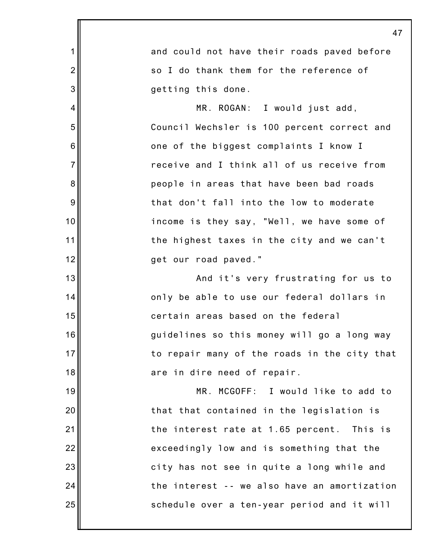|                | 47                                           |
|----------------|----------------------------------------------|
| 1              | and could not have their roads paved before  |
| $\overline{2}$ | so I do thank them for the reference of      |
| 3              | getting this done.                           |
| 4              | MR. ROGAN: I would just add,                 |
| 5              | Council Wechsler is 100 percent correct and  |
| $\,6$          | one of the biggest complaints I know I       |
| $\overline{7}$ | receive and I think all of us receive from   |
| 8              | people in areas that have been bad roads     |
| $9\,$          | that don't fall into the low to moderate     |
| 10             | income is they say, "Well, we have some of   |
| 11             | the highest taxes in the city and we can't   |
| 12             | get our road paved."                         |
| 13             | And it's very frustrating for us to          |
| 14             | only be able to use our federal dollars in   |
| 15             | certain areas based on the federal           |
| 16             | guidelines so this money will go a long way  |
| 17             | to repair many of the roads in the city that |
| 18             | are in dire need of repair.                  |
| 19             | MR. MCGOFF: I would like to add to           |
| 20             | that that contained in the legislation is    |
| 21             | the interest rate at 1.65 percent. This is   |
| 22             | exceedingly low and is something that the    |
| 23             | city has not see in quite a long while and   |
| 24             | the interest -- we also have an amortization |
| 25             | schedule over a ten-year period and it will  |
|                |                                              |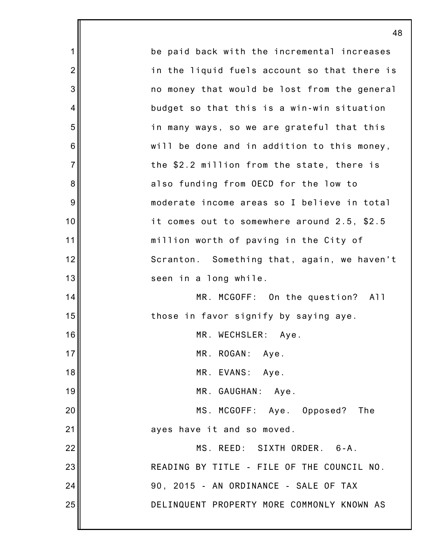|                | 48                                           |
|----------------|----------------------------------------------|
| 1              | be paid back with the incremental increases  |
| $\overline{2}$ | in the liquid fuels account so that there is |
| 3              | no money that would be lost from the general |
| 4              | budget so that this is a win-win situation   |
| 5              | in many ways, so we are grateful that this   |
| 6              | will be done and in addition to this money,  |
| $\overline{7}$ | the \$2.2 million from the state, there is   |
| 8              | also funding from OECD for the low to        |
| 9              | moderate income areas so I believe in total  |
| 10             | it comes out to somewhere around 2.5, \$2.5  |
| 11             | million worth of paving in the City of       |
| 12             | Scranton. Something that, again, we haven't  |
| 13             | seen in a long while.                        |
| 14             | MR. MCGOFF: On the question? All             |
| 15             | those in favor signify by saying aye.        |
| 16             | MR. WECHSLER: Aye.                           |
| 17             | MR. ROGAN: Aye.                              |
| 18             | MR. EVANS: Aye.                              |
| 19             | MR. GAUGHAN: Aye.                            |
| 20             | MS. MCGOFF: Aye. Opposed? The                |
| 21             | ayes have it and so moved.                   |
| 22             | MS. REED: SIXTH ORDER. 6-A.                  |
| 23             | READING BY TITLE - FILE OF THE COUNCIL NO.   |
| 24             | 90, 2015 - AN ORDINANCE - SALE OF TAX        |
| 25             | DELINQUENT PROPERTY MORE COMMONLY KNOWN AS   |
|                |                                              |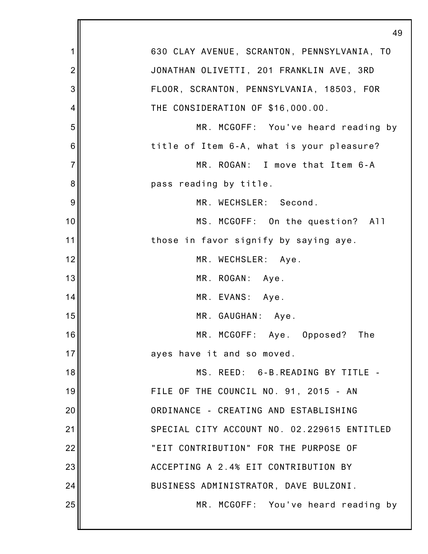|                | 49                                          |
|----------------|---------------------------------------------|
| 1              | 630 CLAY AVENUE, SCRANTON, PENNSYLVANIA, TO |
| $\overline{2}$ | JONATHAN OLIVETTI, 201 FRANKLIN AVE, 3RD    |
| 3              | FLOOR, SCRANTON, PENNSYLVANIA, 18503, FOR   |
| 4              | THE CONSIDERATION OF \$16,000.00.           |
| 5              | MR. MCGOFF: You've heard reading by         |
| 6              | title of Item 6-A, what is your pleasure?   |
| $\overline{7}$ | MR. ROGAN: I move that Item 6-A             |
| 8              | pass reading by title.                      |
| 9              | MR. WECHSLER: Second.                       |
| 10             | MS. MCGOFF: On the question? All            |
| 11             | those in favor signify by saying aye.       |
| 12             | MR. WECHSLER: Aye.                          |
| 13             | MR. ROGAN: Aye.                             |
| 14             | MR. EVANS: Aye.                             |
| 15             | MR. GAUGHAN: Aye.                           |
| 16             | MR. MCGOFF: Aye. Opposed? The               |
| 17             | ayes have it and so moved.                  |
| 18             | MS. REED: 6-B.READING BY TITLE -            |
| 19             | FILE OF THE COUNCIL NO. 91, 2015 - AN       |
| 20             | ORDINANCE - CREATING AND ESTABLISHING       |
| 21             | SPECIAL CITY ACCOUNT NO. 02.229615 ENTITLED |
| 22             | "EIT CONTRIBUTION" FOR THE PURPOSE OF       |
| 23             | ACCEPTING A 2.4% EIT CONTRIBUTION BY        |
| 24             | BUSINESS ADMINISTRATOR, DAVE BULZONI.       |
| 25             | MR. MCGOFF: You've heard reading by         |
|                |                                             |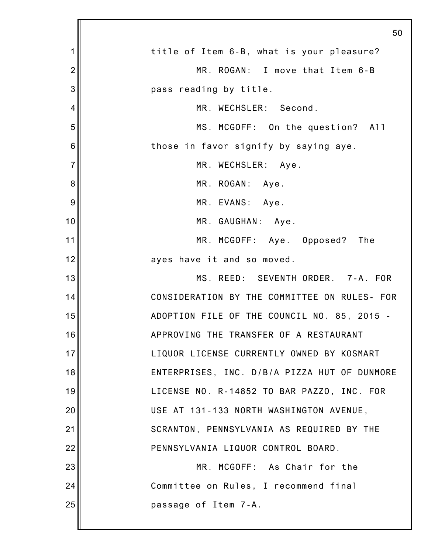|                | 50                                           |
|----------------|----------------------------------------------|
| 1              | title of Item 6-B, what is your pleasure?    |
| $\overline{c}$ | MR. ROGAN: I move that Item 6-B              |
| 3              | pass reading by title.                       |
| 4              | MR. WECHSLER: Second.                        |
| 5              | MS. MCGOFF: On the question? All             |
| 6              | those in favor signify by saying aye.        |
| $\overline{7}$ | MR. WECHSLER: Aye.                           |
| 8              | MR. ROGAN: Aye.                              |
| 9              | MR. EVANS: Aye.                              |
| 10             | MR. GAUGHAN: Aye.                            |
| 11             | MR. MCGOFF: Aye. Opposed? The                |
| 12             | ayes have it and so moved.                   |
| 13             | MS. REED: SEVENTH ORDER. 7-A. FOR            |
| 14             | CONSIDERATION BY THE COMMITTEE ON RULES- FOR |
| 15             | ADOPTION FILE OF THE COUNCIL NO. 85, 2015 -  |
| 16             | APPROVING THE TRANSFER OF A RESTAURANT       |
| 17             | LIQUOR LICENSE CURRENTLY OWNED BY KOSMART    |
| 18             | ENTERPRISES, INC. D/B/A PIZZA HUT OF DUNMORE |
| 19             | LICENSE NO. R-14852 TO BAR PAZZO, INC. FOR   |
| 20             | USE AT 131-133 NORTH WASHINGTON AVENUE,      |
| 21             | SCRANTON, PENNSYLVANIA AS REQUIRED BY THE    |
| 22             | PENNSYLVANIA LIQUOR CONTROL BOARD.           |
| 23             | MR. MCGOFF: As Chair for the                 |
| 24             | Committee on Rules, I recommend final        |
| 25             | passage of Item 7-A.                         |
|                |                                              |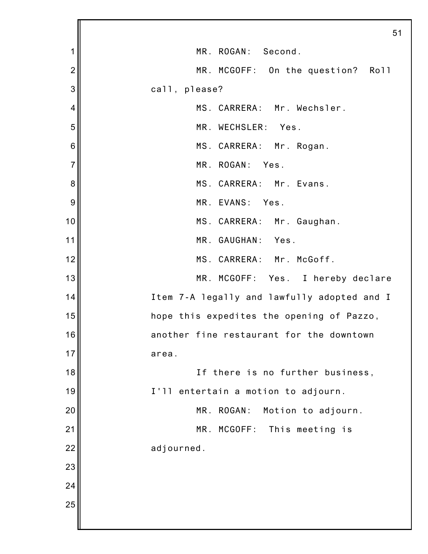|                | 5                                           |
|----------------|---------------------------------------------|
| 1              | MR. ROGAN: Second.                          |
| $\overline{2}$ | MR. MCGOFF: On the question? Roll           |
| 3              | call, please?                               |
| $\overline{4}$ | MS. CARRERA: Mr. Wechsler.                  |
| 5              | MR. WECHSLER: Yes.                          |
| 6              | MS. CARRERA: Mr. Rogan.                     |
| $\overline{7}$ | MR. ROGAN: Yes.                             |
| 8              | MS. CARRERA: Mr. Evans.                     |
| 9              | MR. EVANS: Yes.                             |
| 10             | MS. CARRERA: Mr. Gaughan.                   |
| 11             | MR. GAUGHAN: Yes.                           |
| 12             | MS. CARRERA: Mr. McGoff.                    |
| 13             | MR. MCGOFF: Yes. I hereby declare           |
| 14             | Item 7-A legally and lawfully adopted and I |
| 15             | hope this expedites the opening of Pazzo,   |
| 16             | another fine restaurant for the downtown    |
| 17             | area.                                       |
| 18             | If there is no further business,            |
| 19             | I'll entertain a motion to adjourn.         |
| 20             | MR.<br>ROGAN:<br>Motion to adjourn.         |
| 21             | MR. MCGOFF:<br>This meeting is              |
| 22             | adjourned.                                  |
| 23             |                                             |
| 24             |                                             |
| 25             |                                             |
|                |                                             |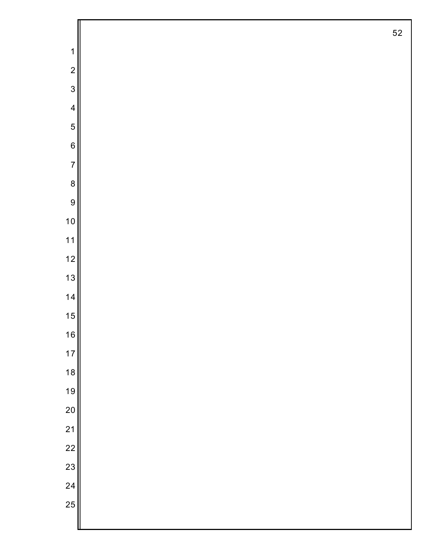|                          | 52 |
|--------------------------|----|
| 1                        |    |
| $\overline{c}$           |    |
| 3                        |    |
| $\overline{\mathcal{A}}$ |    |
| 5                        |    |
| $\,$ 6 $\,$              |    |
| $\overline{7}$           |    |
| 8                        |    |
| 9                        |    |
| 10                       |    |
| 11                       |    |
| 12                       |    |
| 13                       |    |
| 14                       |    |
| 15                       |    |
| 16                       |    |
| 17                       |    |
| 18                       |    |
| 19                       |    |
| 20                       |    |
| 21                       |    |
| 22                       |    |
| 23                       |    |
| 24                       |    |
| 25                       |    |
|                          |    |